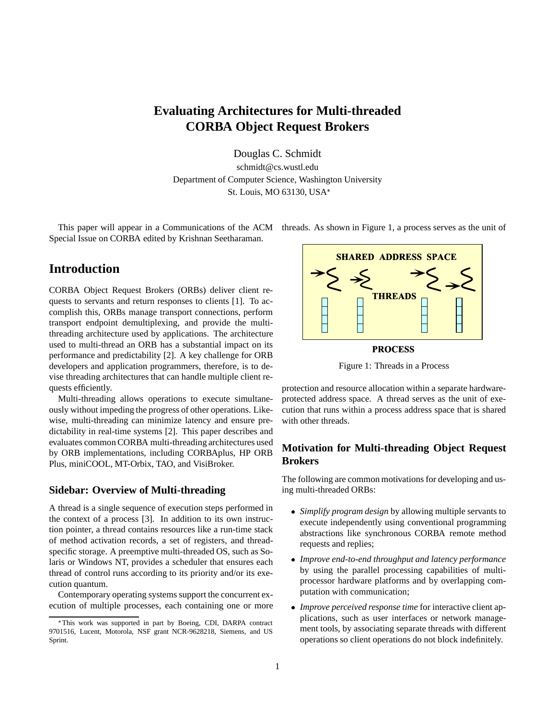# **Evaluating Architectures for Multi-threaded CORBA Object Request Brokers**

Douglas C. Schmidt

schmidt@cs.wustl.edu Department of Computer Science, Washington University St. Louis, MO 63130, USA

This paper will appear in a Communications of the ACM threads. As shown in Figure 1, a process serves as the unit of Special Issue on CORBA edited by Krishnan Seetharaman.

# **Introduction**

CORBA Object Request Brokers (ORBs) deliver client requests to servants and return responses to clients [1]. To accomplish this, ORBs manage transport connections, perform transport endpoint demultiplexing, and provide the multithreading architecture used by applications. The architecture used to multi-thread an ORB has a substantial impact on its performance and predictability [2]. A key challenge for ORB developers and application programmers, therefore, is to devise threading architectures that can handle multiple client requests efficiently.

Multi-threading allows operations to execute simultaneously without impeding the progress of other operations. Likewise, multi-threading can minimize latency and ensure predictability in real-time systems [2]. This paper describes and evaluates common CORBA multi-threading architectures used by ORB implementations, including CORBAplus, HP ORB Plus, miniCOOL, MT-Orbix, TAO, and VisiBroker.

### **Sidebar: Overview of Multi-threading**

A thread is a single sequence of execution steps performed in the context of a process [3]. In addition to its own instruction pointer, a thread contains resources like a run-time stack of method activation records, a set of registers, and threadspecific storage. A preemptive multi-threaded OS, such as Solaris or Windows NT, provides a scheduler that ensures each thread of control runs according to its priority and/or its execution quantum.

Contemporary operating systems support the concurrent execution of multiple processes, each containing one or more



PROCESS Figure 1: Threads in a Process

protection and resource allocation within a separate hardwareprotected address space. A thread serves as the unit of execution that runs within a process address space that is shared with other threads.

## **Motivation for Multi-threading Object Request Brokers**

The following are common motivations for developing and using multi-threaded ORBs:

- *Simplify program design* by allowing multiple servants to execute independently using conventional programming abstractions like synchronous CORBA remote method requests and replies;
- *Improve end-to-end throughput and latency performance* by using the parallel processing capabilities of multiprocessor hardware platforms and by overlapping computation with communication;
- *Improve perceived response time* for interactive client applications, such as user interfaces or network management tools, by associating separate threads with different operations so client operations do not block indefinitely.

This work was supported in part by Boeing, CDI, DARPA contract 9701516, Lucent, Motorola, NSF grant NCR-9628218, Siemens, and US Sprint.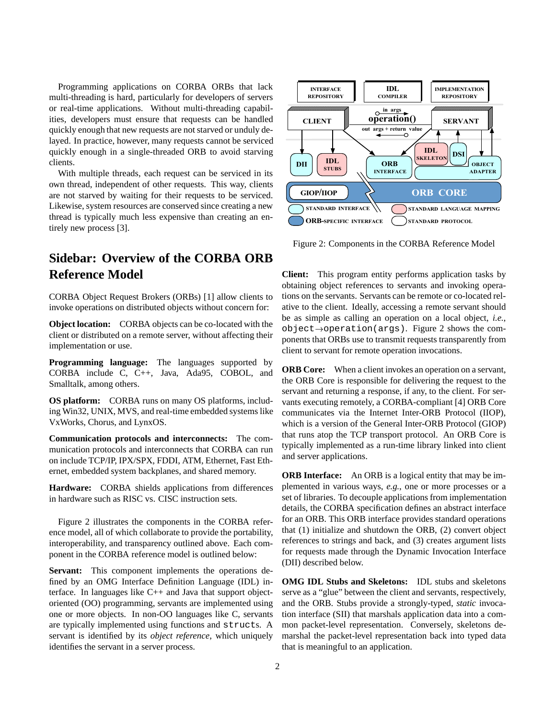Programming applications on CORBA ORBs that lack multi-threading is hard, particularly for developers of servers or real-time applications. Without multi-threading capabilities, developers must ensure that requests can be handled quickly enough that new requests are not starved or unduly delayed. In practice, however, many requests cannot be serviced quickly enough in a single-threaded ORB to avoid starving clients.

With multiple threads, each request can be serviced in its own thread, independent of other requests. This way, clients are not starved by waiting for their requests to be serviced. Likewise, system resources are conserved since creating a new thread is typically much less expensive than creating an entirely new process [3].

# **Sidebar: Overview of the CORBA ORB Reference Model**

CORBA Object Request Brokers (ORBs) [1] allow clients to invoke operations on distributed objects without concern for:

**Object location:** CORBA objects can be co-located with the client or distributed on a remote server, without affecting their implementation or use.

**Programming language:** The languages supported by CORBA include C, C++, Java, Ada95, COBOL, and Smalltalk, among others.

**OS platform:** CORBA runs on many OS platforms, including Win32, UNIX, MVS, and real-time embedded systems like VxWorks, Chorus, and LynxOS.

**Communication protocols and interconnects:** The communication protocols and interconnects that CORBA can run on include TCP/IP, IPX/SPX, FDDI, ATM, Ethernet, Fast Ethernet, embedded system backplanes, and shared memory.

**Hardware:** CORBA shields applications from differences in hardware such as RISC vs. CISC instruction sets.

Figure 2 illustrates the components in the CORBA reference model, all of which collaborate to provide the portability, interoperability, and transparency outlined above. Each component in the CORBA reference model is outlined below:

**Servant:** This component implements the operations defined by an OMG Interface Definition Language (IDL) interface. In languages like C++ and Java that support objectoriented (OO) programming, servants are implemented using one or more objects. In non-OO languages like C, servants are typically implemented using functions and structs. A servant is identified by its *object reference*, which uniquely identifies the servant in a server process.



Figure 2: Components in the CORBA Reference Model

**Client:** This program entity performs application tasks by obtaining object references to servants and invoking operations on the servants. Servants can be remote or co-located relative to the client. Ideally, accessing a remote servant should be as simple as calling an operation on a local object, *i.e.*,  $object \rightarrow operation(args)$ . Figure 2 shows the components that ORBs use to transmit requests transparently from client to servant for remote operation invocations.

**ORB Core:** When a client invokes an operation on a servant, the ORB Core is responsible for delivering the request to the servant and returning a response, if any, to the client. For servants executing remotely, a CORBA-compliant [4] ORB Core communicates via the Internet Inter-ORB Protocol (IIOP), which is a version of the General Inter-ORB Protocol (GIOP) that runs atop the TCP transport protocol. An ORB Core is typically implemented as a run-time library linked into client and server applications.

**ORB Interface:** An ORB is a logical entity that may be implemented in various ways, *e.g.*, one or more processes or a set of libraries. To decouple applications from implementation details, the CORBA specification defines an abstract interface for an ORB. This ORB interface provides standard operations that (1) initialize and shutdown the ORB, (2) convert object references to strings and back, and (3) creates argument lists for requests made through the Dynamic Invocation Interface (DII) described below.

**OMG IDL Stubs and Skeletons:** IDL stubs and skeletons serve as a "glue" between the client and servants, respectively, and the ORB. Stubs provide a strongly-typed, *static* invocation interface (SII) that marshals application data into a common packet-level representation. Conversely, skeletons demarshal the packet-level representation back into typed data that is meaningful to an application.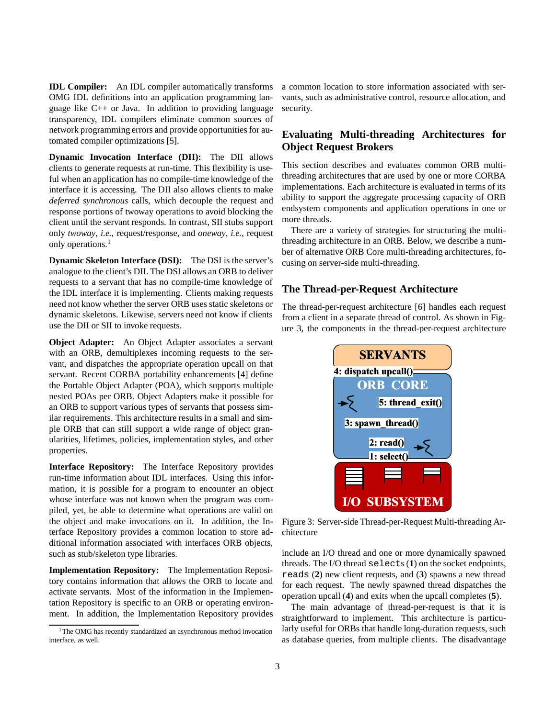**IDL Compiler:** An IDL compiler automatically transforms OMG IDL definitions into an application programming language like C++ or Java. In addition to providing language transparency, IDL compilers eliminate common sources of network programming errors and provide opportunities for automated compiler optimizations [5].

**Dynamic Invocation Interface (DII):** The DII allows clients to generate requests at run-time. This flexibility is useful when an application has no compile-time knowledge of the interface it is accessing. The DII also allows clients to make *deferred synchronous* calls, which decouple the request and response portions of twoway operations to avoid blocking the client until the servant responds. In contrast, SII stubs support only *twoway*, *i.e.*, request/response, and *oneway*, *i.e.*, request only operations.<sup>1</sup>

**Dynamic Skeleton Interface (DSI):** The DSI is the server's analogue to the client's DII. The DSI allows an ORB to deliver requests to a servant that has no compile-time knowledge of the IDL interface it is implementing. Clients making requests need not know whether the server ORB uses static skeletons or dynamic skeletons. Likewise, servers need not know if clients use the DII or SII to invoke requests.

**Object Adapter:** An Object Adapter associates a servant with an ORB, demultiplexes incoming requests to the servant, and dispatches the appropriate operation upcall on that servant. Recent CORBA portability enhancements [4] define the Portable Object Adapter (POA), which supports multiple nested POAs per ORB. Object Adapters make it possible for an ORB to support various types of servants that possess similar requirements. This architecture results in a small and simple ORB that can still support a wide range of object granularities, lifetimes, policies, implementation styles, and other properties.

**Interface Repository:** The Interface Repository provides run-time information about IDL interfaces. Using this information, it is possible for a program to encounter an object whose interface was not known when the program was compiled, yet, be able to determine what operations are valid on the object and make invocations on it. In addition, the Interface Repository provides a common location to store additional information associated with interfaces ORB objects, such as stub/skeleton type libraries.

**Implementation Repository:** The Implementation Repository contains information that allows the ORB to locate and activate servants. Most of the information in the Implementation Repository is specific to an ORB or operating environment. In addition, the Implementation Repository provides a common location to store information associated with servants, such as administrative control, resource allocation, and security.

## **Evaluating Multi-threading Architectures for Object Request Brokers**

This section describes and evaluates common ORB multithreading architectures that are used by one or more CORBA implementations. Each architecture is evaluated in terms of its ability to support the aggregate processing capacity of ORB endsystem components and application operations in one or more threads.

There are a variety of strategies for structuring the multithreading architecture in an ORB. Below, we describe a number of alternative ORB Core multi-threading architectures, focusing on server-side multi-threading.

## **The Thread-per-Request Architecture**

The thread-per-request architecture [6] handles each request from a client in a separate thread of control. As shown in Figure 3, the components in the thread-per-request architecture



Figure 3: Server-side Thread-per-Request Multi-threading Architecture

include an I/O thread and one or more dynamically spawned threads. The I/O thread selects (**1**) on the socket endpoints, reads (**2**) new client requests, and (**3**) spawns a new thread for each request. The newly spawned thread dispatches the operation upcall (**4**) and exits when the upcall completes (**5**).

The main advantage of thread-per-request is that it is straightforward to implement. This architecture is particularly useful for ORBs that handle long-duration requests, such as database queries, from multiple clients. The disadvantage

<sup>&</sup>lt;sup>1</sup>The OMG has recently standardized an asynchronous method invocation interface, as well.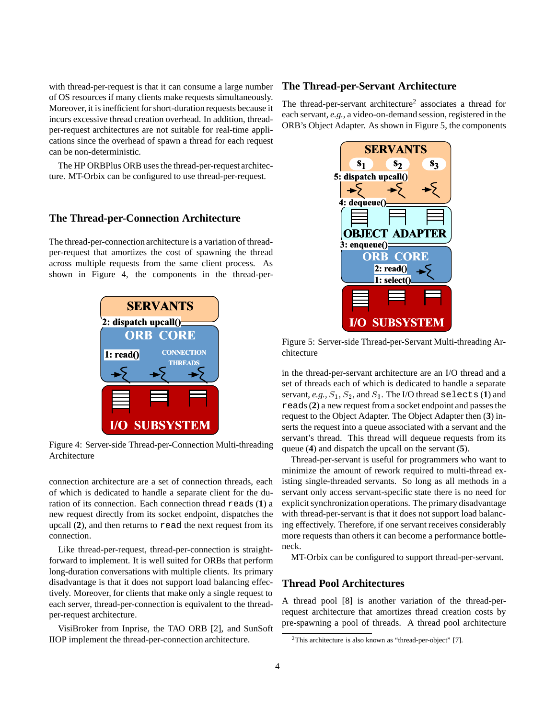with thread-per-request is that it can consume a large number of OS resources if many clients make requests simultaneously. Moreover, it is inefficient for short-duration requests because it incurs excessive thread creation overhead. In addition, threadper-request architectures are not suitable for real-time applications since the overhead of spawn a thread for each request can be non-deterministic.

The HP ORBPlus ORB uses the thread-per-request architecture. MT-Orbix can be configured to use thread-per-request.

#### **The Thread-per-Connection Architecture**

The thread-per-connection architecture is a variation of threadper-request that amortizes the cost of spawning the thread across multiple requests from the same client process. As shown in Figure 4, the components in the thread-per-



Figure 4: Server-side Thread-per-Connection Multi-threading Architecture

connection architecture are a set of connection threads, each of which is dedicated to handle a separate client for the duration of its connection. Each connection thread reads (**1**) a new request directly from its socket endpoint, dispatches the upcall (**2**), and then returns to read the next request from its connection.

Like thread-per-request, thread-per-connection is straightforward to implement. It is well suited for ORBs that perform long-duration conversations with multiple clients. Its primary disadvantage is that it does not support load balancing effectively. Moreover, for clients that make only a single request to each server, thread-per-connection is equivalent to the threadper-request architecture.

VisiBroker from Inprise, the TAO ORB [2], and SunSoft IIOP implement the thread-per-connection architecture.

### **The Thread-per-Servant Architecture**

The thread-per-servant architecture<sup>2</sup> associates a thread for each servant, *e.g.*, a video-on-demand session, registered in the ORB's Object Adapter. As shown in Figure 5, the components



Figure 5: Server-side Thread-per-Servant Multi-threading Architecture

in the thread-per-servant architecture are an I/O thread and a set of threads each of which is dedicated to handle a separate servant,  $e.g., S_1, S_2,$  and  $S_3$ . The I/O thread selects (1) and reads (**2**) a new request from a socket endpoint and passes the request to the Object Adapter. The Object Adapter then (**3**) inserts the request into a queue associated with a servant and the servant's thread. This thread will dequeue requests from its queue (**4**) and dispatch the upcall on the servant (**5**).

Thread-per-servant is useful for programmers who want to minimize the amount of rework required to multi-thread existing single-threaded servants. So long as all methods in a servant only access servant-specific state there is no need for explicit synchronization operations. The primary disadvantage with thread-per-servant is that it does not support load balancing effectively. Therefore, if one servant receives considerably more requests than others it can become a performance bottleneck.

MT-Orbix can be configured to support thread-per-servant.

### **Thread Pool Architectures**

A thread pool [8] is another variation of the thread-perrequest architecture that amortizes thread creation costs by pre-spawning a pool of threads. A thread pool architecture

<sup>&</sup>lt;sup>2</sup>This architecture is also known as "thread-per-object" [7].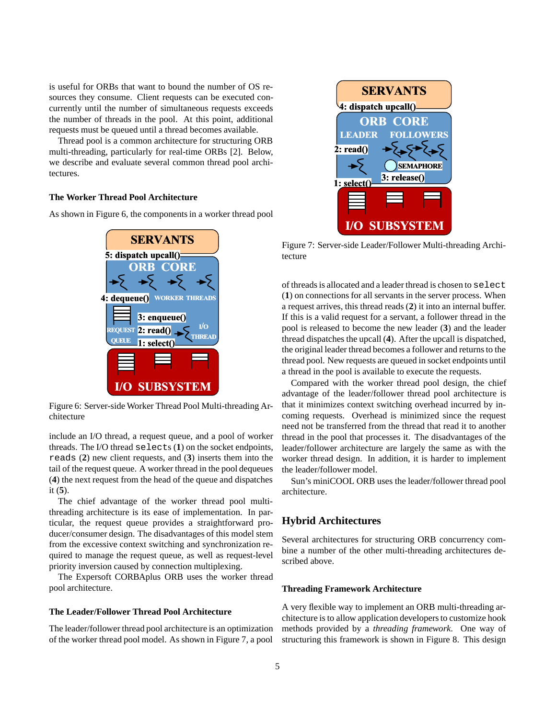is useful for ORBs that want to bound the number of OS resources they consume. Client requests can be executed concurrently until the number of simultaneous requests exceeds the number of threads in the pool. At this point, additional requests must be queued until a thread becomes available.

Thread pool is a common architecture for structuring ORB multi-threading, particularly for real-time ORBs [2]. Below, we describe and evaluate several common thread pool architectures.

#### **The Worker Thread Pool Architecture**

As shown in Figure 6, the components in a worker thread pool



Figure 6: Server-side Worker Thread Pool Multi-threading Architecture

include an I/O thread, a request queue, and a pool of worker threads. The I/O thread selects (**1**) on the socket endpoints, reads (**2**) new client requests, and (**3**) inserts them into the tail of the request queue. A worker thread in the pool dequeues (**4**) the next request from the head of the queue and dispatches it (**5**).

The chief advantage of the worker thread pool multithreading architecture is its ease of implementation. In particular, the request queue provides a straightforward producer/consumer design. The disadvantages of this model stem from the excessive context switching and synchronization required to manage the request queue, as well as request-level priority inversion caused by connection multiplexing.

The Expersoft CORBAplus ORB uses the worker thread pool architecture.

#### **The Leader/Follower Thread Pool Architecture**

The leader/follower thread pool architecture is an optimization of the worker thread pool model. As shown in Figure 7, a pool



Figure 7: Server-side Leader/Follower Multi-threading Architecture

of threads is allocated and a leader thread is chosen to select (**1**) on connections for all servants in the server process. When a request arrives, this thread reads (**2**) it into an internal buffer. If this is a valid request for a servant, a follower thread in the pool is released to become the new leader (**3**) and the leader thread dispatches the upcall (**4**). After the upcall is dispatched, the original leader thread becomes a follower and returns to the thread pool. New requests are queued in socket endpoints until a thread in the pool is available to execute the requests.

Compared with the worker thread pool design, the chief advantage of the leader/follower thread pool architecture is that it minimizes context switching overhead incurred by incoming requests. Overhead is minimized since the request need not be transferred from the thread that read it to another thread in the pool that processes it. The disadvantages of the leader/follower architecture are largely the same as with the worker thread design. In addition, it is harder to implement the leader/follower model.

Sun's miniCOOL ORB uses the leader/follower thread pool architecture.

### **Hybrid Architectures**

Several architectures for structuring ORB concurrency combine a number of the other multi-threading architectures described above.

#### **Threading Framework Architecture**

A very flexible way to implement an ORB multi-threading architecture is to allow application developers to customize hook methods provided by a *threading framework*. One way of structuring this framework is shown in Figure 8. This design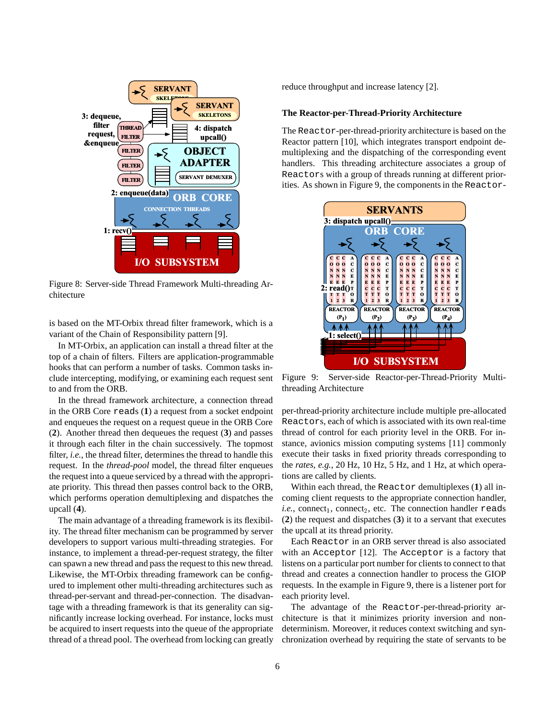

Figure 8: Server-side Thread Framework Multi-threading Architecture

is based on the MT-Orbix thread filter framework, which is a variant of the Chain of Responsibility pattern [9].

In MT-Orbix, an application can install a thread filter at the top of a chain of filters. Filters are application-programmable hooks that can perform a number of tasks. Common tasks include intercepting, modifying, or examining each request sent to and from the ORB.

In the thread framework architecture, a connection thread in the ORB Core reads (**1**) a request from a socket endpoint and enqueues the request on a request queue in the ORB Core (**2**). Another thread then dequeues the request (**3**) and passes it through each filter in the chain successively. The topmost filter, *i.e.*, the thread filter, determines the thread to handle this request. In the *thread-pool* model, the thread filter enqueues the request into a queue serviced by a thread with the appropriate priority. This thread then passes control back to the ORB, which performs operation demultiplexing and dispatches the upcall (**4**).

The main advantage of a threading framework is its flexibility. The thread filter mechanism can be programmed by server developers to support various multi-threading strategies. For instance, to implement a thread-per-request strategy, the filter can spawn a new thread and pass the request to this new thread. Likewise, the MT-Orbix threading framework can be configured to implement other multi-threading architectures such as thread-per-servant and thread-per-connection. The disadvantage with a threading framework is that its generality can significantly increase locking overhead. For instance, locks must be acquired to insert requests into the queue of the appropriate thread of a thread pool. The overhead from locking can greatly reduce throughput and increase latency [2].

#### **The Reactor-per-Thread-Priority Architecture**

The Reactor-per-thread-priority architecture is based on the Reactor pattern [10], which integrates transport endpoint demultiplexing and the dispatching of the corresponding event handlers. This threading architecture associates a group of Reactors with a group of threads running at different priorities. As shown in Figure 9, the components in the Reactor-



Figure 9: Server-side Reactor-per-Thread-Priority Multithreading Architecture

per-thread-priority architecture include multiple pre-allocated Reactors, each of which is associated with its own real-time thread of control for each priority level in the ORB. For instance, avionics mission computing systems [11] commonly execute their tasks in fixed priority threads corresponding to the *rates*, *e.g.*, 20 Hz, 10 Hz, 5 Hz, and 1 Hz, at which operations are called by clients.

Within each thread, the Reactor demultiplexes (**1**) all incoming client requests to the appropriate connection handler,  $i.e.,$  connect<sub>1</sub>, connect<sub>2</sub>, etc. The connection handler reads (**2**) the request and dispatches (**3**) it to a servant that executes the upcall at its thread priority.

Each Reactor in an ORB server thread is also associated with an Acceptor [12]. The Acceptor is a factory that listens on a particular port number for clients to connect to that thread and creates a connection handler to process the GIOP requests. In the example in Figure 9, there is a listener port for each priority level.

The advantage of the Reactor-per-thread-priority architecture is that it minimizes priority inversion and nondeterminism. Moreover, it reduces context switching and synchronization overhead by requiring the state of servants to be